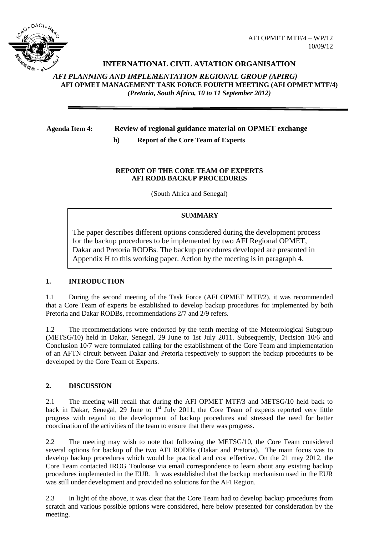

# **INTERNATIONAL CIVIL AVIATION ORGANISATION**

*AFI PLANNING AND IMPLEMENTATION REGIONAL GROUP (APIRG)* **AFI OPMET MANAGEMENT TASK FORCE FOURTH MEETING (AFI OPMET MTF/4)**  *(Pretoria, South Africa, 10 to 11 September 2012)*

### **Agenda Item 4: Review of regional guidance material on OPMET exchange**

**h) Report of the Core Team of Experts**

### **REPORT OF THE CORE TEAM OF EXPERTS AFI RODB BACKUP PROCEDURES**

(South Africa and Senegal)

# **SUMMARY**

The paper describes different options considered during the development process for the backup procedures to be implemented by two AFI Regional OPMET, Dakar and Pretoria RODBs. The backup procedures developed are presented in Appendix H to this working paper. Action by the meeting is in paragraph 4.

#### **1. INTRODUCTION**

1.1 During the second meeting of the Task Force (AFI OPMET MTF/2), it was recommended that a Core Team of experts be established to develop backup procedures for implemented by both Pretoria and Dakar RODBs, recommendations 2/7 and 2/9 refers.

1.2 The recommendations were endorsed by the tenth meeting of the Meteorological Subgroup (METSG/10) held in Dakar, Senegal, 29 June to 1st July 2011. Subsequently, Decision 10/6 and Conclusion 10/7 were formulated calling for the establishment of the Core Team and implementation of an AFTN circuit between Dakar and Pretoria respectively to support the backup procedures to be developed by the Core Team of Experts.

# **2. DISCUSSION**

2.1 The meeting will recall that during the AFI OPMET MTF/3 and METSG/10 held back to back in Dakar, Senegal, 29 June to  $1<sup>st</sup>$  July 2011, the Core Team of experts reported very little progress with regard to the development of backup procedures and stressed the need for better coordination of the activities of the team to ensure that there was progress.

2.2 The meeting may wish to note that following the METSG/10, the Core Team considered several options for backup of the two AFI RODBs (Dakar and Pretoria). The main focus was to develop backup procedures which would be practical and cost effective. On the 21 may 2012, the Core Team contacted IROG Toulouse via email correspondence to learn about any existing backup procedures implemented in the EUR. It was established that the backup mechanism used in the EUR was still under development and provided no solutions for the AFI Region.

2.3 In light of the above, it was clear that the Core Team had to develop backup procedures from scratch and various possible options were considered, here below presented for consideration by the meeting.